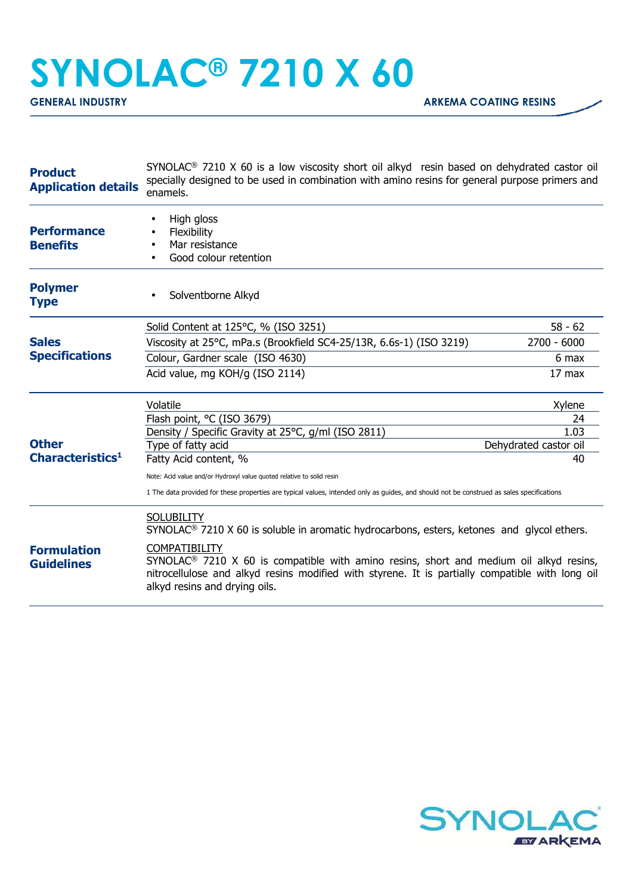## **SYNOLAC® 7210 X 60**

| <b>Product</b><br><b>Application details</b> | $SYNOLAC®$ 7210 X 60 is a low viscosity short oil alkyd resin based on dehydrated castor oil<br>specially designed to be used in combination with amino resins for general purpose primers and<br>enamels.                                                     |                       |  |
|----------------------------------------------|----------------------------------------------------------------------------------------------------------------------------------------------------------------------------------------------------------------------------------------------------------------|-----------------------|--|
| <b>Performance</b><br><b>Benefits</b>        | High gloss<br>Flexibility<br>Mar resistance<br>Good colour retention                                                                                                                                                                                           |                       |  |
| <b>Polymer</b><br><b>Type</b>                | Solventborne Alkyd                                                                                                                                                                                                                                             |                       |  |
| <b>Sales</b><br><b>Specifications</b>        | Solid Content at 125°C, % (ISO 3251)                                                                                                                                                                                                                           | $58 - 62$             |  |
|                                              | Viscosity at 25°C, mPa.s (Brookfield SC4-25/13R, 6.6s-1) (ISO 3219)                                                                                                                                                                                            | $2700 - 6000$         |  |
|                                              | Colour, Gardner scale (ISO 4630)                                                                                                                                                                                                                               | 6 max                 |  |
|                                              | Acid value, mg KOH/g (ISO 2114)                                                                                                                                                                                                                                | $17 \text{ max}$      |  |
| <b>Other</b><br>Characteristics <sup>1</sup> | Volatile                                                                                                                                                                                                                                                       | Xylene                |  |
|                                              | Flash point, °C (ISO 3679)<br>Density / Specific Gravity at 25°C, g/ml (ISO 2811)                                                                                                                                                                              | 24<br>1.03            |  |
|                                              | Type of fatty acid                                                                                                                                                                                                                                             | Dehydrated castor oil |  |
|                                              | Fatty Acid content, %                                                                                                                                                                                                                                          | 40                    |  |
|                                              | Note: Acid value and/or Hydroxyl value quoted relative to solid resin                                                                                                                                                                                          |                       |  |
|                                              | 1 The data provided for these properties are typical values, intended only as guides, and should not be construed as sales specifications                                                                                                                      |                       |  |
|                                              | <b>SOLUBILITY</b><br>$SYNOLAC®$ 7210 X 60 is soluble in aromatic hydrocarbons, esters, ketones and glycol ethers.                                                                                                                                              |                       |  |
| <b>Formulation</b><br><b>Guidelines</b>      | <b>COMPATIBILITY</b><br>SYNOLAC <sup>®</sup> 7210 X 60 is compatible with amino resins, short and medium oil alkyd resins,<br>nitrocellulose and alkyd resins modified with styrene. It is partially compatible with long oil<br>alkyd resins and drying oils. |                       |  |